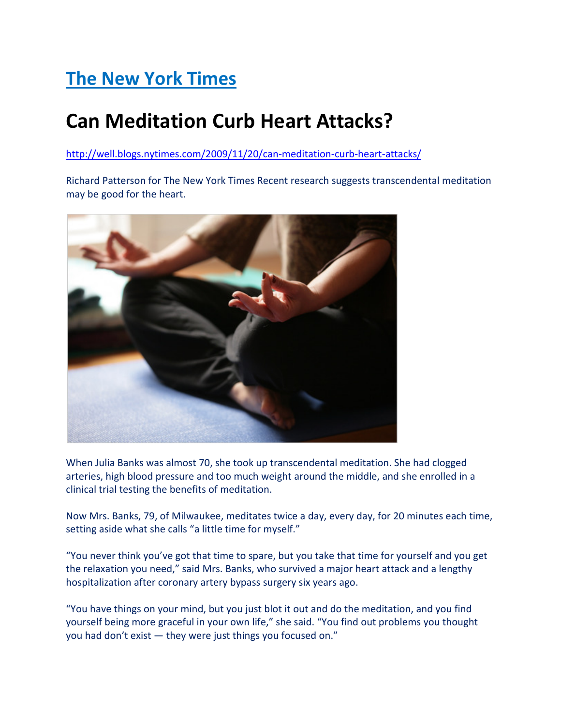## The New York Times

## Can Meditation Curb Heart Attacks?

http://well.blogs.nytimes.com/2009/11/20/can-meditation-curb-heart-attacks/

Richard Patterson for The New York Times Recent research suggests transcendental meditation may be good for the heart.



When Julia Banks was almost 70, she took up transcendental meditation. She had clogged arteries, high blood pressure and too much weight around the middle, and she enrolled in a clinical trial testing the benefits of meditation.

Now Mrs. Banks, 79, of Milwaukee, meditates twice a day, every day, for 20 minutes each time, setting aside what she calls "a little time for myself."

"You never think you've got that time to spare, but you take that time for yourself and you get the relaxation you need," said Mrs. Banks, who survived a major heart attack and a lengthy hospitalization after coronary artery bypass surgery six years ago.

"You have things on your mind, but you just blot it out and do the meditation, and you find yourself being more graceful in your own life," she said. "You find out problems you thought you had don't exist — they were just things you focused on."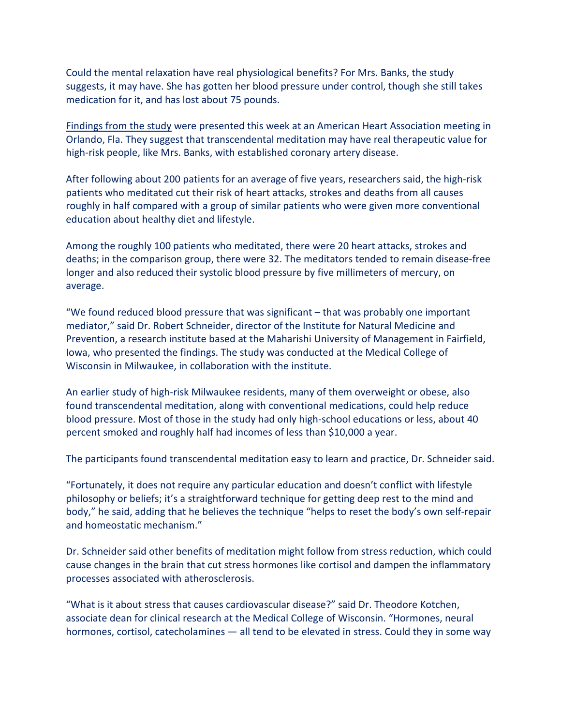Could the mental relaxation have real physiological benefits? For Mrs. Banks, the study suggests, it may have. She has gotten her blood pressure under control, though she still takes medication for it, and has lost about 75 pounds.

Findings from the study were presented this week at an American Heart Association meeting in Orlando, Fla. They suggest that transcendental meditation may have real therapeutic value for high-risk people, like Mrs. Banks, with established coronary artery disease.

After following about 200 patients for an average of five years, researchers said, the high-risk patients who meditated cut their risk of heart attacks, strokes and deaths from all causes roughly in half compared with a group of similar patients who were given more conventional education about healthy diet and lifestyle.

Among the roughly 100 patients who meditated, there were 20 heart attacks, strokes and deaths; in the comparison group, there were 32. The meditators tended to remain disease-free longer and also reduced their systolic blood pressure by five millimeters of mercury, on average.

"We found reduced blood pressure that was significant – that was probably one important mediator," said Dr. Robert Schneider, director of the Institute for Natural Medicine and Prevention, a research institute based at the Maharishi University of Management in Fairfield, Iowa, who presented the findings. The study was conducted at the Medical College of Wisconsin in Milwaukee, in collaboration with the institute.

An earlier study of high-risk Milwaukee residents, many of them overweight or obese, also found transcendental meditation, along with conventional medications, could help reduce blood pressure. Most of those in the study had only high-school educations or less, about 40 percent smoked and roughly half had incomes of less than \$10,000 a year.

The participants found transcendental meditation easy to learn and practice, Dr. Schneider said.

"Fortunately, it does not require any particular education and doesn't conflict with lifestyle philosophy or beliefs; it's a straightforward technique for getting deep rest to the mind and body," he said, adding that he believes the technique "helps to reset the body's own self-repair and homeostatic mechanism."

Dr. Schneider said other benefits of meditation might follow from stress reduction, which could cause changes in the brain that cut stress hormones like cortisol and dampen the inflammatory processes associated with atherosclerosis.

"What is it about stress that causes cardiovascular disease?" said Dr. Theodore Kotchen, associate dean for clinical research at the Medical College of Wisconsin. "Hormones, neural hormones, cortisol, catecholamines — all tend to be elevated in stress. Could they in some way